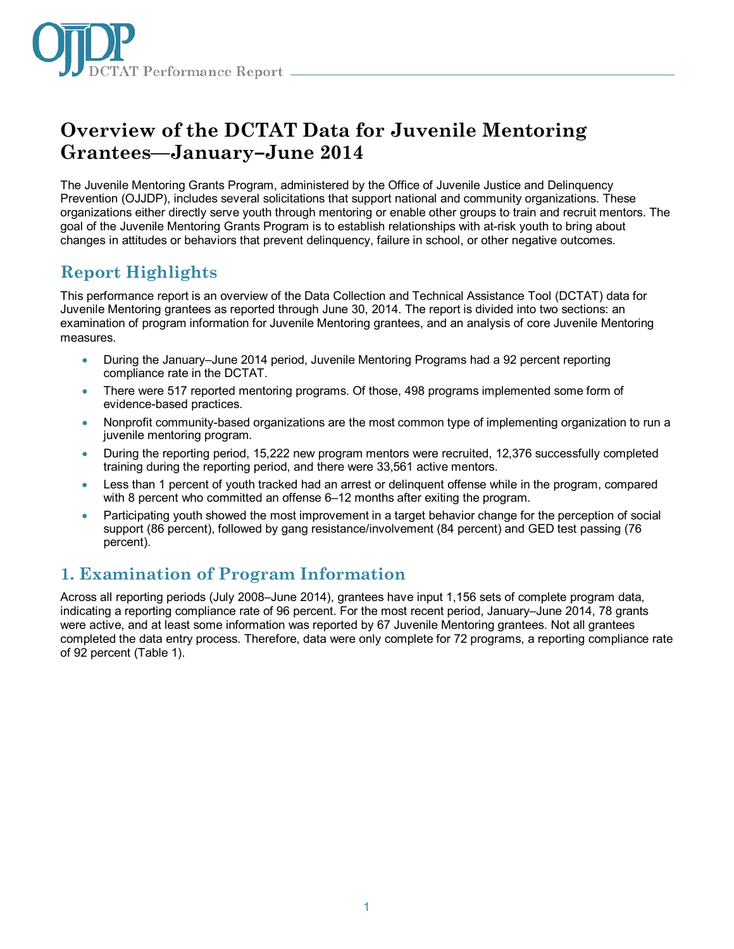

# **Overview of the DCTAT Data for Juvenile Mentoring Grantees—January–June 2014**

The Juvenile Mentoring Grants Program, administered by the Office of Juvenile Justice and Delinquency Prevention (OJJDP), includes several solicitations that support national and community organizations. These organizations either directly serve youth through mentoring or enable other groups to train and recruit mentors. The goal of the Juvenile Mentoring Grants Program is to establish relationships with at-risk youth to bring about changes in attitudes or behaviors that prevent delinquency, failure in school, or other negative outcomes.

# **Report Highlights**

This performance report is an overview of the Data Collection and Technical Assistance Tool (DCTAT) data for Juvenile Mentoring grantees as reported through June 30, 2014. The report is divided into two sections: an examination of program information for Juvenile Mentoring grantees, and an analysis of core Juvenile Mentoring measures.

- During the January–June 2014 period, Juvenile Mentoring Programs had a 92 percent reporting compliance rate in the DCTAT.
- There were 517 reported mentoring programs. Of those, 498 programs implemented some form of evidence-based practices.
- Nonprofit community-based organizations are the most common type of implementing organization to run a juvenile mentoring program.
- During the reporting period, 15,222 new program mentors were recruited, 12,376 successfully completed training during the reporting period, and there were 33,561 active mentors.
- Less than 1 percent of youth tracked had an arrest or delinquent offense while in the program, compared with 8 percent who committed an offense 6–12 months after exiting the program.
- Participating youth showed the most improvement in a target behavior change for the perception of social support (86 percent), followed by gang resistance/involvement (84 percent) and GED test passing (76 percent).

# **1. Examination of Program Information**

Across all reporting periods (July 2008–June 2014), grantees have input 1,156 sets of complete program data, indicating a reporting compliance rate of 96 percent. For the most recent period, January–June 2014, 78 grants were active, and at least some information was reported by 67 Juvenile Mentoring grantees. Not all grantees completed the data entry process. Therefore, data were only complete for 72 programs, a reporting compliance rate of 92 percent (Table 1).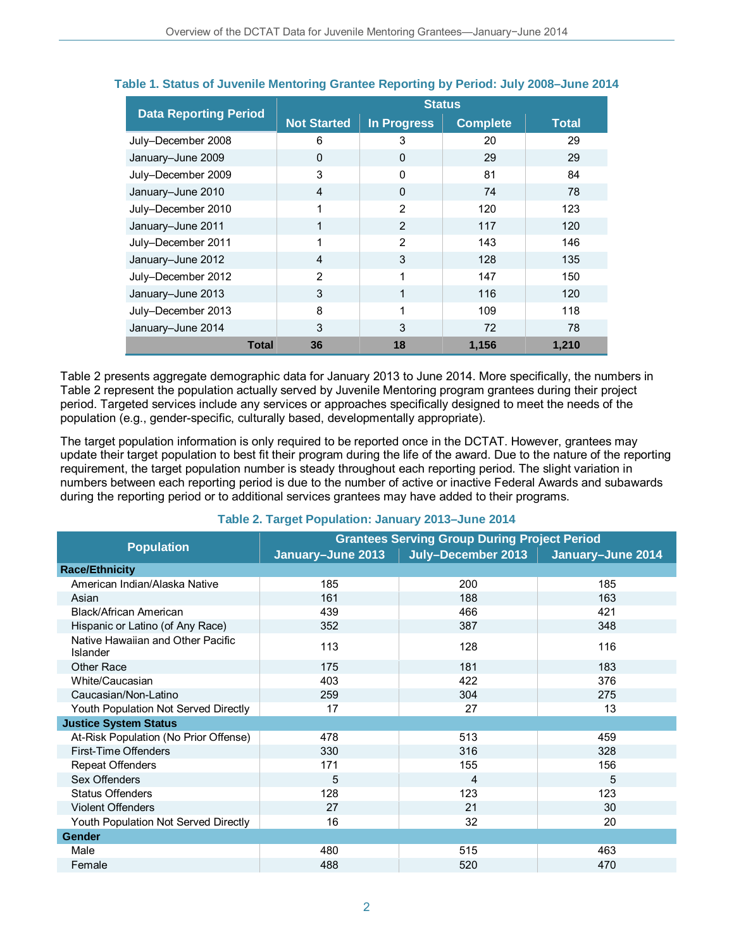|                              | <b>Status</b>      |                    |                 |              |
|------------------------------|--------------------|--------------------|-----------------|--------------|
| <b>Data Reporting Period</b> | <b>Not Started</b> | <b>In Progress</b> | <b>Complete</b> | <b>Total</b> |
| July-December 2008           | 6                  | 3                  | 20              | 29           |
| January-June 2009            | $\Omega$           | $\Omega$           | 29              | 29           |
| July-December 2009           | 3                  | $\Omega$           | 81              | 84           |
| January-June 2010            | 4                  | $\Omega$           | 74              | 78           |
| July-December 2010           | 1                  | $\overline{2}$     | 120             | 123          |
| January-June 2011            |                    | 2                  | 117             | 120          |
| July-December 2011           | 1                  | $\overline{2}$     | 143             | 146          |
| January-June 2012            | 4                  | 3                  | 128             | 135          |
| July-December 2012           | $\overline{2}$     | 1                  | 147             | 150          |
| January-June 2013            | 3                  | 1                  | 116             | 120          |
| July-December 2013           | 8                  | 1                  | 109             | 118          |
| January-June 2014            | 3                  | 3                  | 72              | 78           |
| Total                        | 36                 | 18                 | 1.156           | 1.210        |

### **Table 1. Status of Juvenile Mentoring Grantee Reporting by Period: July 2008–June 2014**

Table 2 presents aggregate demographic data for January 2013 to June 2014. More specifically, the numbers in Table 2 represent the population actually served by Juvenile Mentoring program grantees during their project period. Targeted services include any services or approaches specifically designed to meet the needs of the population (e.g., gender-specific, culturally based, developmentally appropriate).

The target population information is only required to be reported once in the DCTAT. However, grantees may update their target population to best fit their program during the life of the award. Due to the nature of the reporting requirement, the target population number is steady throughout each reporting period. The slight variation in numbers between each reporting period is due to the number of active or inactive Federal Awards and subawards during the reporting period or to additional services grantees may have added to their programs.

|                                               | <b>Grantees Serving Group During Project Period</b> |                    |                   |  |
|-----------------------------------------------|-----------------------------------------------------|--------------------|-------------------|--|
| <b>Population</b>                             | January-June 2013                                   | July-December 2013 | January-June 2014 |  |
| <b>Race/Ethnicity</b>                         |                                                     |                    |                   |  |
| American Indian/Alaska Native                 | 185                                                 | 200                | 185               |  |
| Asian                                         | 161                                                 | 188                | 163               |  |
| Black/African American                        | 439                                                 | 466                | 421               |  |
| Hispanic or Latino (of Any Race)              | 352                                                 | 387                | 348               |  |
| Native Hawaiian and Other Pacific<br>Islander | 113                                                 | 128                | 116               |  |
| <b>Other Race</b>                             | 175                                                 | 181                | 183               |  |
| White/Caucasian                               | 403                                                 | 422                | 376               |  |
| Caucasian/Non-Latino                          | 259                                                 | 304                | 275               |  |
| Youth Population Not Served Directly          | 17                                                  | 27                 | 13                |  |
| <b>Justice System Status</b>                  |                                                     |                    |                   |  |
| At-Risk Population (No Prior Offense)         | 478                                                 | 513                | 459               |  |
| First-Time Offenders                          | 330                                                 | 316                | 328               |  |
| <b>Repeat Offenders</b>                       | 171                                                 | 155                | 156               |  |
| Sex Offenders                                 | 5                                                   | 4                  | 5                 |  |
| <b>Status Offenders</b>                       | 128                                                 | 123                | 123               |  |
| <b>Violent Offenders</b>                      | 27                                                  | 21                 | 30                |  |
| Youth Population Not Served Directly          | 16                                                  | 32                 | 20                |  |
| <b>Gender</b>                                 |                                                     |                    |                   |  |
| Male                                          | 480                                                 | 515                | 463               |  |
| Female                                        | 488                                                 | 520                | 470               |  |

#### **Table 2. Target Population: January 2013–June 2014**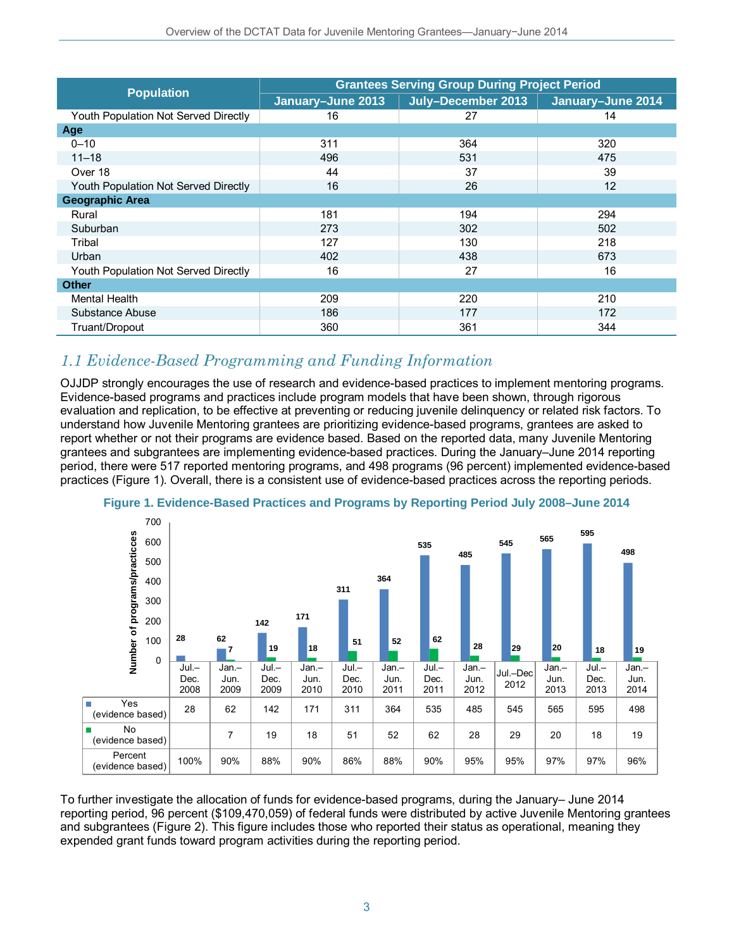|                                      | <b>Grantees Serving Group During Project Period</b> |                    |                   |  |
|--------------------------------------|-----------------------------------------------------|--------------------|-------------------|--|
| <b>Population</b>                    | January-June 2013                                   | July-December 2013 | January-June 2014 |  |
| Youth Population Not Served Directly | 16                                                  | 27                 | 14                |  |
| Age                                  |                                                     |                    |                   |  |
| $0 - 10$                             | 311                                                 | 364                | 320               |  |
| $11 - 18$                            | 496                                                 | 531                | 475               |  |
| Over 18                              | 44                                                  | 37                 | 39                |  |
| Youth Population Not Served Directly | 16                                                  | 26                 | 12                |  |
| <b>Geographic Area</b>               |                                                     |                    |                   |  |
| Rural                                | 181                                                 | 194                | 294               |  |
| Suburban                             | 273                                                 | 302                | 502               |  |
| Tribal                               | 127                                                 | 130                | 218               |  |
| Urban                                | 402                                                 | 438                | 673               |  |
| Youth Population Not Served Directly | 16                                                  | 27                 | 16                |  |
| Other                                |                                                     |                    |                   |  |
| <b>Mental Health</b>                 | 209                                                 | 220                | 210               |  |
| Substance Abuse                      | 186                                                 | 177                | 172               |  |
| Truant/Dropout                       | 360                                                 | 361                | 344               |  |

## *1.1 Evidence-Based Programming and Funding Information*

OJJDP strongly encourages the use of research and evidence-based practices to implement mentoring programs. Evidence-based programs and practices include program models that have been shown, through rigorous evaluation and replication, to be effective at preventing or reducing juvenile delinquency or related risk factors. To understand how Juvenile Mentoring grantees are prioritizing evidence-based programs, grantees are asked to report whether or not their programs are evidence based. Based on the reported data, many Juvenile Mentoring grantees and subgrantees are implementing evidence-based practices. During the January–June 2014 reporting period, there were 517 reported mentoring programs, and 498 programs (96 percent) implemented evidence-based practices (Figure 1). Overall, there is a consistent use of evidence-based practices across the reporting periods.





To further investigate the allocation of funds for evidence-based programs, during the January– June 2014 reporting period, 96 percent (\$109,470,059) of federal funds were distributed by active Juvenile Mentoring grantees and subgrantees (Figure 2). This figure includes those who reported their status as operational, meaning they expended grant funds toward program activities during the reporting period.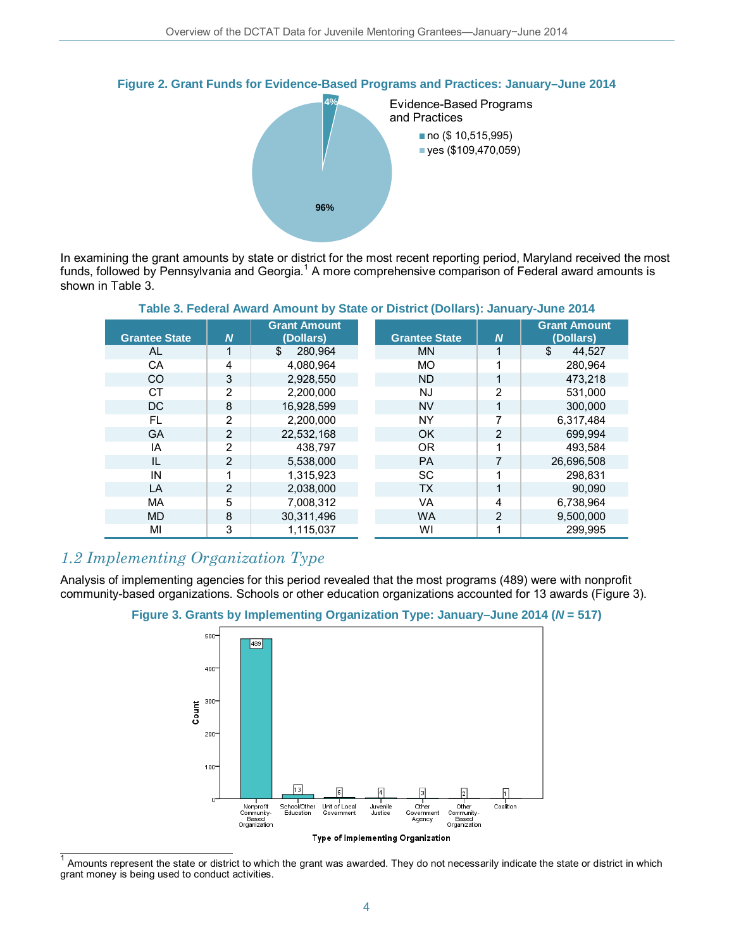

**Figure 2. Grant Funds for Evidence-Based Programs and Practices: January–June 2014**

In examining the grant amounts by state or district for the most recent reporting period, Maryland received the most funds, followed by Pennsylvania and Georgia.<sup>[1](#page-3-0)</sup> A more comprehensive comparison of Federal award amounts is shown in Table 3.

| <b>East 3: Federal Amaru Annount by Olate Of District (Donars). Jamuary-June 2014</b> |                |                                  |                      |                |                                  |
|---------------------------------------------------------------------------------------|----------------|----------------------------------|----------------------|----------------|----------------------------------|
| <b>Grantee State</b>                                                                  | N,             | <b>Grant Amount</b><br>(Dollars) | <b>Grantee State</b> | $\overline{N}$ | <b>Grant Amount</b><br>(Dollars) |
| AL                                                                                    |                | 280,964<br>\$                    | <b>MN</b>            | 1              | \$<br>44,527                     |
| CA                                                                                    | 4              | 4,080,964                        | <b>MO</b>            |                | 280.964                          |
| CO                                                                                    | 3              | 2,928,550                        | <b>ND</b>            | 1              | 473,218                          |
| <b>CT</b>                                                                             | $\overline{2}$ | 2.200.000                        | NJ                   | $\overline{2}$ | 531,000                          |
| DC.                                                                                   | 8              | 16.928.599                       | <b>NV</b>            |                | 300,000                          |
| <b>FL</b>                                                                             | 2              | 2.200.000                        | <b>NY</b>            | 7              | 6,317,484                        |
| <b>GA</b>                                                                             | $\mathcal{P}$  | 22,532,168                       | <b>OK</b>            | 2              | 699.994                          |
| IA                                                                                    | 2              | 438.797                          | OR.                  | 1              | 493.584                          |
| IL                                                                                    | 2              | 5,538,000                        | <b>PA</b>            |                | 26,696,508                       |
| IN                                                                                    |                | 1.315.923                        | <b>SC</b>            | 1              | 298.831                          |
| LA                                                                                    | $\mathfrak{p}$ | 2,038,000                        | <b>TX</b>            | 1              | 90.090                           |
| MA                                                                                    | 5              | 7,008,312                        | <b>VA</b>            | 4              | 6,738,964                        |
| <b>MD</b>                                                                             | 8              | 30,311,496                       | <b>WA</b>            | 2              | 9.500.000                        |
| МI                                                                                    | 3              | 1.115.037                        | WI                   |                | 299.995                          |

#### **Table 3. Federal Award Amount by State or District (Dollars): January-June 2014**

## *1.2 Implementing Organization Type*

Analysis of implementing agencies for this period revealed that the most programs (489) were with nonprofit community-based organizations. Schools or other education organizations accounted for 13 awards (Figure 3).





<span id="page-3-0"></span> $1$  Amounts represent the state or district to which the grant was awarded. They do not necessarily indicate the state or district in which grant money is being used to conduct activities.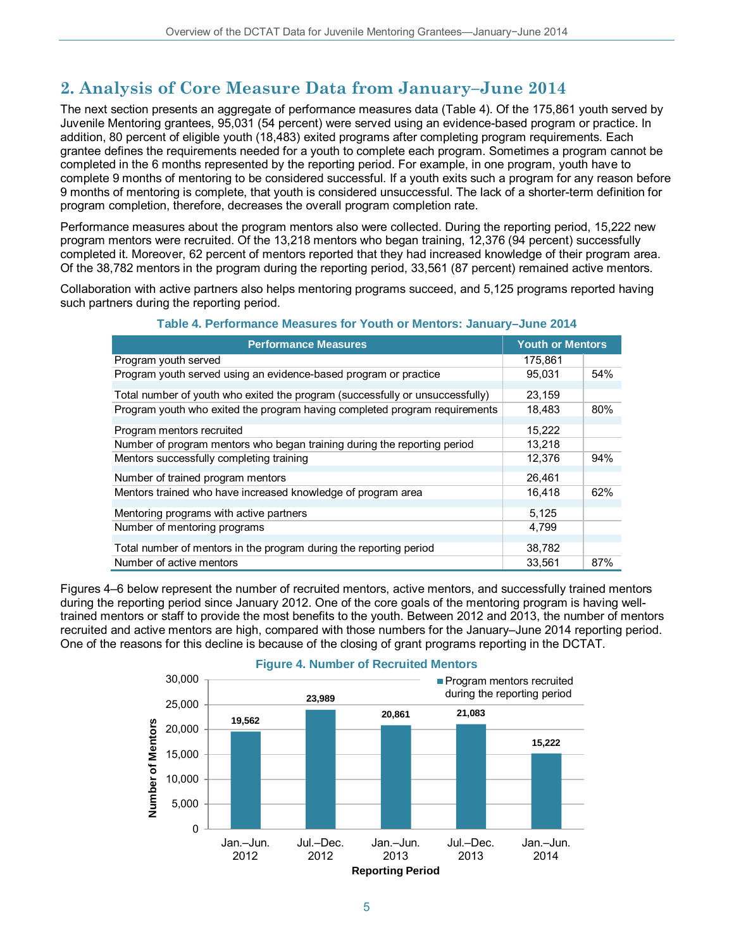# **2. Analysis of Core Measure Data from January–June 2014**

The next section presents an aggregate of performance measures data (Table 4). Of the 175,861 youth served by Juvenile Mentoring grantees, 95,031 (54 percent) were served using an evidence-based program or practice. In addition, 80 percent of eligible youth (18,483) exited programs after completing program requirements. Each grantee defines the requirements needed for a youth to complete each program. Sometimes a program cannot be completed in the 6 months represented by the reporting period. For example, in one program, youth have to complete 9 months of mentoring to be considered successful. If a youth exits such a program for any reason before 9 months of mentoring is complete, that youth is considered unsuccessful. The lack of a shorter-term definition for program completion, therefore, decreases the overall program completion rate.

Performance measures about the program mentors also were collected. During the reporting period, 15,222 new program mentors were recruited. Of the 13,218 mentors who began training, 12,376 (94 percent) successfully completed it. Moreover, 62 percent of mentors reported that they had increased knowledge of their program area. Of the 38,782 mentors in the program during the reporting period, 33,561 (87 percent) remained active mentors.

Collaboration with active partners also helps mentoring programs succeed, and 5,125 programs reported having such partners during the reporting period.

| <b>Performance Measures</b>                                                   | <b>Youth or Mentors</b> |     |
|-------------------------------------------------------------------------------|-------------------------|-----|
| Program youth served                                                          | 175.861                 |     |
| Program youth served using an evidence-based program or practice              | 95.031                  | 54% |
| Total number of youth who exited the program (successfully or unsuccessfully) | 23,159                  |     |
| Program youth who exited the program having completed program requirements    | 18.483                  | 80% |
| Program mentors recruited                                                     | 15,222                  |     |
| Number of program mentors who began training during the reporting period      | 13,218                  |     |
| Mentors successfully completing training                                      | 12,376                  | 94% |
| Number of trained program mentors                                             | 26,461                  |     |
| Mentors trained who have increased knowledge of program area                  | 16.418                  | 62% |
| Mentoring programs with active partners                                       | 5,125                   |     |
| Number of mentoring programs                                                  | 4,799                   |     |
| Total number of mentors in the program during the reporting period            | 38,782                  |     |
| Number of active mentors                                                      | 33.561                  | 87% |

### **Table 4. Performance Measures for Youth or Mentors: January–June 2014**

Figures 4–6 below represent the number of recruited mentors, active mentors, and successfully trained mentors during the reporting period since January 2012. One of the core goals of the mentoring program is having welltrained mentors or staff to provide the most benefits to the youth. Between 2012 and 2013, the number of mentors recruited and active mentors are high, compared with those numbers for the January–June 2014 reporting period. One of the reasons for this decline is because of the closing of grant programs reporting in the DCTAT.



### **Figure 4. Number of Recruited Mentors**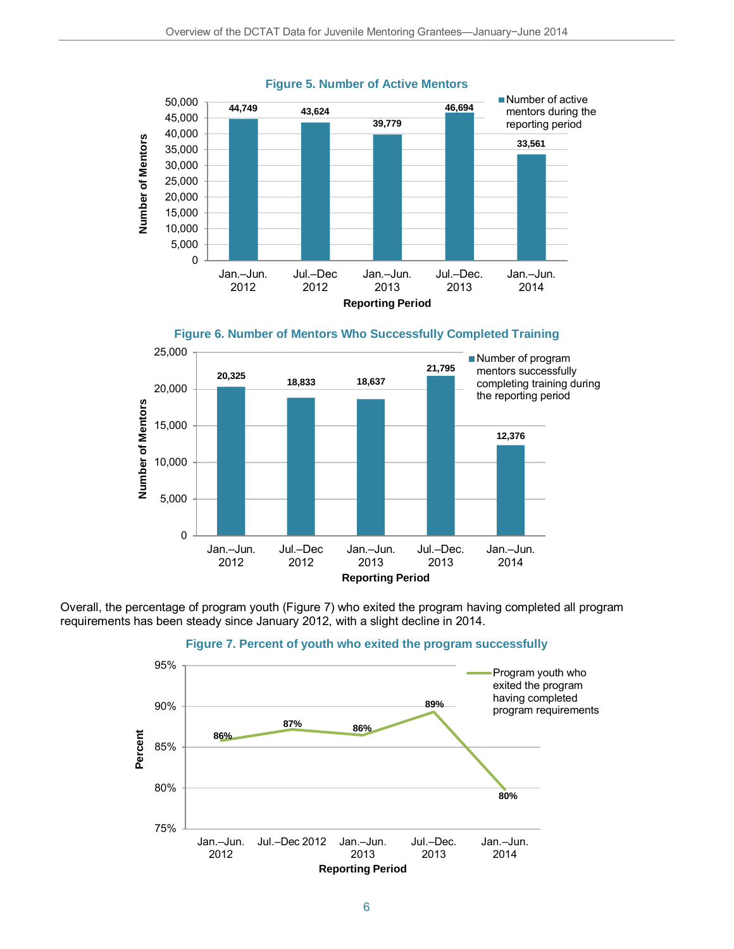

#### **Figure 5. Number of Active Mentors**



Overall, the percentage of program youth (Figure 7) who exited the program having completed all program requirements has been steady since January 2012, with a slight decline in 2014.



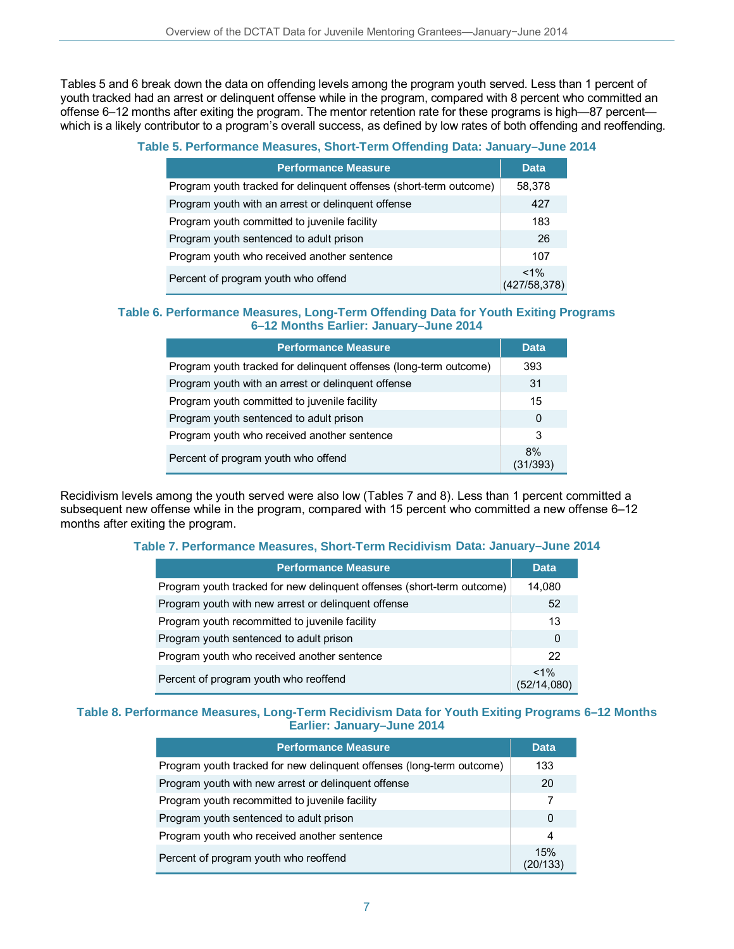Tables 5 and 6 break down the data on offending levels among the program youth served. Less than 1 percent of youth tracked had an arrest or delinquent offense while in the program, compared with 8 percent who committed an offense 6–12 months after exiting the program. The mentor retention rate for these programs is high—87 percent which is a likely contributor to a program's overall success, as defined by low rates of both offending and reoffending.

#### **Table 5. Performance Measures, Short-Term Offending Data: January–June 2014**

| <b>Performance Measure</b>                                         | <b>Data</b>              |
|--------------------------------------------------------------------|--------------------------|
| Program youth tracked for delinquent offenses (short-term outcome) | 58,378                   |
| Program youth with an arrest or delinguent offense                 | 427                      |
| Program youth committed to juvenile facility                       | 183                      |
| Program youth sentenced to adult prison                            | 26                       |
| Program youth who received another sentence                        | 107                      |
| Percent of program youth who offend                                | $< 1\%$<br>(427/58, 378) |

#### **Table 6. Performance Measures, Long-Term Offending Data for Youth Exiting Programs 6–12 Months Earlier: January–June 2014**

| <b>Performance Measure</b>                                        | <b>Data</b>    |
|-------------------------------------------------------------------|----------------|
| Program youth tracked for delinquent offenses (long-term outcome) | 393            |
| Program youth with an arrest or delinguent offense                | 31             |
| Program youth committed to juvenile facility                      | 15             |
| Program youth sentenced to adult prison                           | 0              |
| Program youth who received another sentence                       | 3              |
| Percent of program youth who offend                               | 8%<br>(31/393) |

Recidivism levels among the youth served were also low (Tables 7 and 8). Less than 1 percent committed a subsequent new offense while in the program, compared with 15 percent who committed a new offense 6-12 months after exiting the program.

#### **Table 7. Performance Measures, Short-Term Recidivism Data: January–June 2014**

| <b>Performance Measure</b>                                             | <b>Data</b>            |  |
|------------------------------------------------------------------------|------------------------|--|
| Program youth tracked for new delinguent offenses (short-term outcome) | 14,080                 |  |
| Program youth with new arrest or delinquent offense                    | 52                     |  |
| Program youth recommitted to juvenile facility                         |                        |  |
| Program youth sentenced to adult prison                                |                        |  |
| Program youth who received another sentence                            |                        |  |
| Percent of program youth who reoffend                                  | $< 1\%$<br>(52/14,080) |  |

#### **Table 8. Performance Measures, Long-Term Recidivism Data for Youth Exiting Programs 6–12 Months Earlier: January–June 2014**

| <b>Performance Measure</b>                                            | <b>Data</b>     |
|-----------------------------------------------------------------------|-----------------|
| Program youth tracked for new delinguent offenses (long-term outcome) | 133             |
| Program youth with new arrest or delinguent offense                   | 20              |
| Program youth recommitted to juvenile facility                        |                 |
| Program youth sentenced to adult prison                               |                 |
| Program youth who received another sentence                           |                 |
| Percent of program youth who reoffend                                 | 15%<br>(20/133) |